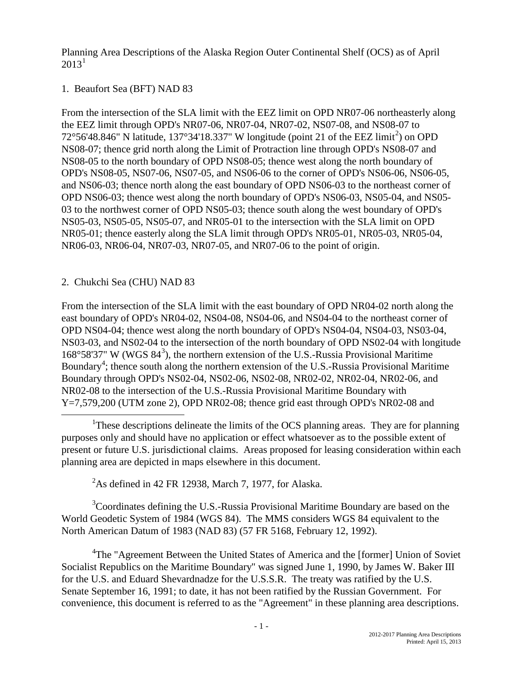Planning Area Descriptions of the Alaska Region Outer Continental Shelf (OCS) as of April  $2013^1$  $2013^1$  $2013^1$ 

# 1. Beaufort Sea (BFT) NAD 83

From the intersection of the SLA limit with the EEZ limit on OPD NR07-06 northeasterly along the EEZ limit through OPD's NR07-06, NR07-04, NR07-02, NS07-08, and NS08-07 to 7[2](#page-0-1)°56'48.846" N latitude, 137°34'18.337" W longitude (point 21 of the EEZ limit<sup>2</sup>) on OPD NS08-07; thence grid north along the Limit of Protraction line through OPD's NS08-07 and NS08-05 to the north boundary of OPD NS08-05; thence west along the north boundary of OPD's NS08-05, NS07-06, NS07-05, and NS06-06 to the corner of OPD's NS06-06, NS06-05, and NS06-03; thence north along the east boundary of OPD NS06-03 to the northeast corner of OPD NS06-03; thence west along the north boundary of OPD's NS06-03, NS05-04, and NS05- 03 to the northwest corner of OPD NS05-03; thence south along the west boundary of OPD's NS05-03, NS05-05, NS05-07, and NR05-01 to the intersection with the SLA limit on OPD NR05-01; thence easterly along the SLA limit through OPD's NR05-01, NR05-03, NR05-04, NR06-03, NR06-04, NR07-03, NR07-05, and NR07-06 to the point of origin.

# 2. Chukchi Sea (CHU) NAD 83

From the intersection of the SLA limit with the east boundary of OPD NR04-02 north along the east boundary of OPD's NR04-02, NS04-08, NS04-06, and NS04-04 to the northeast corner of OPD NS04-04; thence west along the north boundary of OPD's NS04-04, NS04-03, NS03-04, NS03-03, and NS02-04 to the intersection of the north boundary of OPD NS02-04 with longitude  $168^{\circ}58'37''$  $168^{\circ}58'37''$  $168^{\circ}58'37''$  W (WGS  $84^3$ ), the northern extension of the U.S.-Russia Provisional Maritime Boundary<sup>[4](#page-0-3)</sup>; thence south along the northern extension of the U.S.-Russia Provisional Maritime Boundary through OPD's NS02-04, NS02-06, NS02-08, NR02-02, NR02-04, NR02-06, and NR02-08 to the intersection of the U.S.-Russia Provisional Maritime Boundary with Y=7,579,200 (UTM zone 2), OPD NR02-08; thence grid east through OPD's NR02-08 and

<span id="page-0-0"></span><u>1</u> <sup>1</sup>These descriptions delineate the limits of the OCS planning areas. They are for planning purposes only and should have no application or effect whatsoever as to the possible extent of present or future U.S. jurisdictional claims. Areas proposed for leasing consideration within each planning area are depicted in maps elsewhere in this document.

 $2^2$ As defined in 42 FR 12938, March 7, 1977, for Alaska.

<span id="page-0-2"></span><span id="page-0-1"></span><sup>3</sup>Coordinates defining the U.S.-Russia Provisional Maritime Boundary are based on the World Geodetic System of 1984 (WGS 84). The MMS considers WGS 84 equivalent to the North American Datum of 1983 (NAD 83) (57 FR 5168, February 12, 1992).

<span id="page-0-3"></span><sup>4</sup>The "Agreement Between the United States of America and the [former] Union of Soviet Socialist Republics on the Maritime Boundary" was signed June 1, 1990, by James W. Baker III for the U.S. and Eduard Shevardnadze for the U.S.S.R. The treaty was ratified by the U.S. Senate September 16, 1991; to date, it has not been ratified by the Russian Government. For convenience, this document is referred to as the "Agreement" in these planning area descriptions.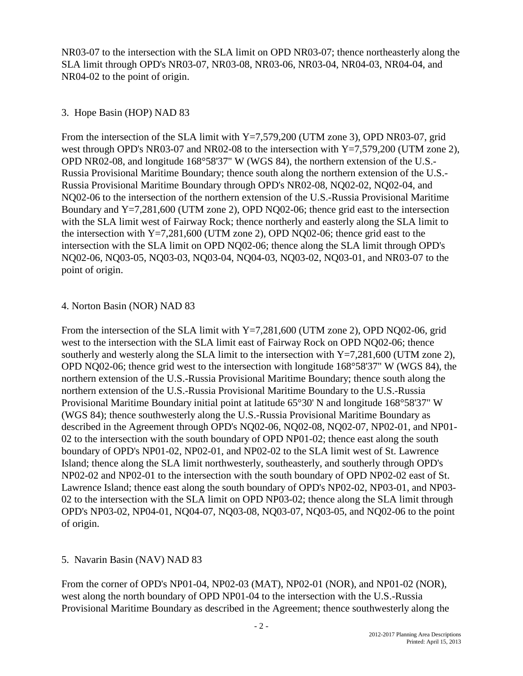NR03-07 to the intersection with the SLA limit on OPD NR03-07; thence northeasterly along the SLA limit through OPD's NR03-07, NR03-08, NR03-06, NR03-04, NR04-03, NR04-04, and NR04-02 to the point of origin.

### 3. Hope Basin (HOP) NAD 83

From the intersection of the SLA limit with  $Y=7,579,200$  (UTM zone 3), OPD NR03-07, grid west through OPD's NR03-07 and NR02-08 to the intersection with Y=7,579,200 (UTM zone 2), OPD NR02-08, and longitude 168°58'37" W (WGS 84), the northern extension of the U.S.- Russia Provisional Maritime Boundary; thence south along the northern extension of the U.S.- Russia Provisional Maritime Boundary through OPD's NR02-08, NQ02-02, NQ02-04, and NQ02-06 to the intersection of the northern extension of the U.S.-Russia Provisional Maritime Boundary and Y=7,281,600 (UTM zone 2), OPD NQ02-06; thence grid east to the intersection with the SLA limit west of Fairway Rock; thence northerly and easterly along the SLA limit to the intersection with  $Y=7,281,600$  (UTM zone 2), OPD NO02-06; thence grid east to the intersection with the SLA limit on OPD NQ02-06; thence along the SLA limit through OPD's NQ02-06, NQ03-05, NQ03-03, NQ03-04, NQ04-03, NQ03-02, NQ03-01, and NR03-07 to the point of origin.

#### 4. Norton Basin (NOR) NAD 83

From the intersection of the SLA limit with  $Y=7.281,600$  (UTM zone 2), OPD NO02-06, grid west to the intersection with the SLA limit east of Fairway Rock on OPD NQ02-06; thence southerly and westerly along the SLA limit to the intersection with  $Y=7,281,600$  (UTM zone 2), OPD NQ02-06; thence grid west to the intersection with longitude 168°58'37" W (WGS 84), the northern extension of the U.S.-Russia Provisional Maritime Boundary; thence south along the northern extension of the U.S.-Russia Provisional Maritime Boundary to the U.S.-Russia Provisional Maritime Boundary initial point at latitude 65°30' N and longitude 168°58'37" W (WGS 84); thence southwesterly along the U.S.-Russia Provisional Maritime Boundary as described in the Agreement through OPD's NQ02-06, NQ02-08, NQ02-07, NP02-01, and NP01- 02 to the intersection with the south boundary of OPD NP01-02; thence east along the south boundary of OPD's NP01-02, NP02-01, and NP02-02 to the SLA limit west of St. Lawrence Island; thence along the SLA limit northwesterly, southeasterly, and southerly through OPD's NP02-02 and NP02-01 to the intersection with the south boundary of OPD NP02-02 east of St. Lawrence Island; thence east along the south boundary of OPD's NP02-02, NP03-01, and NP03- 02 to the intersection with the SLA limit on OPD NP03-02; thence along the SLA limit through OPD's NP03-02, NP04-01, NQ04-07, NQ03-08, NQ03-07, NQ03-05, and NQ02-06 to the point of origin.

#### 5. Navarin Basin (NAV) NAD 83

From the corner of OPD's NP01-04, NP02-03 (MAT), NP02-01 (NOR), and NP01-02 (NOR), west along the north boundary of OPD NP01-04 to the intersection with the U.S.-Russia Provisional Maritime Boundary as described in the Agreement; thence southwesterly along the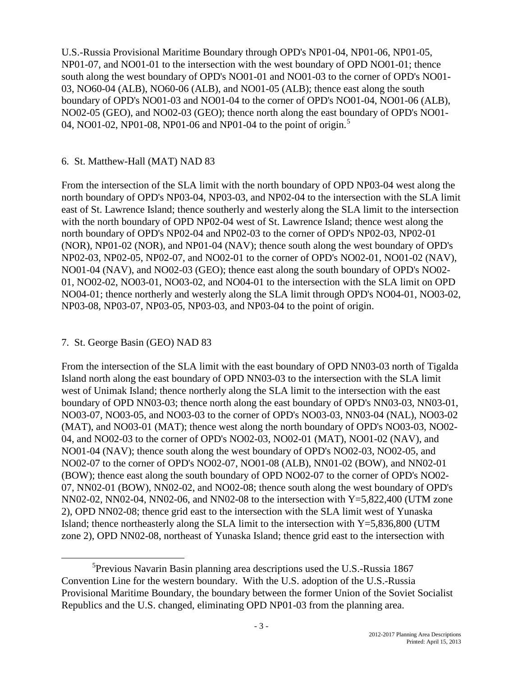U.S.-Russia Provisional Maritime Boundary through OPD's NP01-04, NP01-06, NP01-05, NP01-07, and NO01-01 to the intersection with the west boundary of OPD NO01-01; thence south along the west boundary of OPD's NO01-01 and NO01-03 to the corner of OPD's NO01- 03, NO60-04 (ALB), NO60-06 (ALB), and NO01-05 (ALB); thence east along the south boundary of OPD's NO01-03 and NO01-04 to the corner of OPD's NO01-04, NO01-06 (ALB), NO02-05 (GEO), and NO02-03 (GEO); thence north along the east boundary of OPD's NO01- 04, NO01-02, NP01-08, NP01-06 and NP01-04 to the point of origin.<sup>[5](#page-2-0)</sup>

### 6. St. Matthew-Hall (MAT) NAD 83

From the intersection of the SLA limit with the north boundary of OPD NP03-04 west along the north boundary of OPD's NP03-04, NP03-03, and NP02-04 to the intersection with the SLA limit east of St. Lawrence Island; thence southerly and westerly along the SLA limit to the intersection with the north boundary of OPD NP02-04 west of St. Lawrence Island; thence west along the north boundary of OPD's NP02-04 and NP02-03 to the corner of OPD's NP02-03, NP02-01 (NOR), NP01-02 (NOR), and NP01-04 (NAV); thence south along the west boundary of OPD's NP02-03, NP02-05, NP02-07, and NO02-01 to the corner of OPD's NO02-01, NO01-02 (NAV), NO01-04 (NAV), and NO02-03 (GEO); thence east along the south boundary of OPD's NO02- 01, NO02-02, NO03-01, NO03-02, and NO04-01 to the intersection with the SLA limit on OPD NO04-01; thence northerly and westerly along the SLA limit through OPD's NO04-01, NO03-02, NP03-08, NP03-07, NP03-05, NP03-03, and NP03-04 to the point of origin.

# 7. St. George Basin (GEO) NAD 83

From the intersection of the SLA limit with the east boundary of OPD NN03-03 north of Tigalda Island north along the east boundary of OPD NN03-03 to the intersection with the SLA limit west of Unimak Island; thence northerly along the SLA limit to the intersection with the east boundary of OPD NN03-03; thence north along the east boundary of OPD's NN03-03, NN03-01, NO03-07, NO03-05, and NO03-03 to the corner of OPD's NO03-03, NN03-04 (NAL), NO03-02 (MAT), and NO03-01 (MAT); thence west along the north boundary of OPD's NO03-03, NO02- 04, and NO02-03 to the corner of OPD's NO02-03, NO02-01 (MAT), NO01-02 (NAV), and NO01-04 (NAV); thence south along the west boundary of OPD's NO02-03, NO02-05, and NO02-07 to the corner of OPD's NO02-07, NO01-08 (ALB), NN01-02 (BOW), and NN02-01 (BOW); thence east along the south boundary of OPD NO02-07 to the corner of OPD's NO02- 07, NN02-01 (BOW), NN02-02, and NO02-08; thence south along the west boundary of OPD's NN02-02, NN02-04, NN02-06, and NN02-08 to the intersection with Y=5,822,400 (UTM zone 2), OPD NN02-08; thence grid east to the intersection with the SLA limit west of Yunaska Island; thence northeasterly along the SLA limit to the intersection with  $Y=5,836,800$  (UTM zone 2), OPD NN02-08, northeast of Yunaska Island; thence grid east to the intersection with

<span id="page-2-0"></span><sup>5</sup>  ${}^{5}$ Previous Navarin Basin planning area descriptions used the U.S.-Russia 1867 Convention Line for the western boundary. With the U.S. adoption of the U.S.-Russia Provisional Maritime Boundary, the boundary between the former Union of the Soviet Socialist Republics and the U.S. changed, eliminating OPD NP01-03 from the planning area.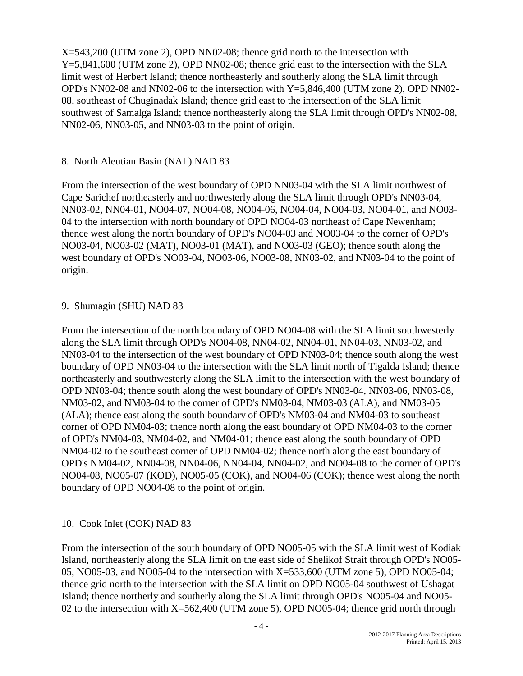X=543,200 (UTM zone 2), OPD NN02-08; thence grid north to the intersection with Y=5,841,600 (UTM zone 2), OPD NN02-08; thence grid east to the intersection with the SLA limit west of Herbert Island; thence northeasterly and southerly along the SLA limit through OPD's NN02-08 and NN02-06 to the intersection with Y=5,846,400 (UTM zone 2), OPD NN02- 08, southeast of Chuginadak Island; thence grid east to the intersection of the SLA limit southwest of Samalga Island; thence northeasterly along the SLA limit through OPD's NN02-08, NN02-06, NN03-05, and NN03-03 to the point of origin.

### 8. North Aleutian Basin (NAL) NAD 83

From the intersection of the west boundary of OPD NN03-04 with the SLA limit northwest of Cape Sarichef northeasterly and northwesterly along the SLA limit through OPD's NN03-04, NN03-02, NN04-01, NO04-07, NO04-08, NO04-06, NO04-04, NO04-03, NO04-01, and NO03- 04 to the intersection with north boundary of OPD NO04-03 northeast of Cape Newenham; thence west along the north boundary of OPD's NO04-03 and NO03-04 to the corner of OPD's NO03-04, NO03-02 (MAT), NO03-01 (MAT), and NO03-03 (GEO); thence south along the west boundary of OPD's NO03-04, NO03-06, NO03-08, NN03-02, and NN03-04 to the point of origin.

### 9. Shumagin (SHU) NAD 83

From the intersection of the north boundary of OPD NO04-08 with the SLA limit southwesterly along the SLA limit through OPD's NO04-08, NN04-02, NN04-01, NN04-03, NN03-02, and NN03-04 to the intersection of the west boundary of OPD NN03-04; thence south along the west boundary of OPD NN03-04 to the intersection with the SLA limit north of Tigalda Island; thence northeasterly and southwesterly along the SLA limit to the intersection with the west boundary of OPD NN03-04; thence south along the west boundary of OPD's NN03-04, NN03-06, NN03-08, NM03-02, and NM03-04 to the corner of OPD's NM03-04, NM03-03 (ALA), and NM03-05 (ALA); thence east along the south boundary of OPD's NM03-04 and NM04-03 to southeast corner of OPD NM04-03; thence north along the east boundary of OPD NM04-03 to the corner of OPD's NM04-03, NM04-02, and NM04-01; thence east along the south boundary of OPD NM04-02 to the southeast corner of OPD NM04-02; thence north along the east boundary of OPD's NM04-02, NN04-08, NN04-06, NN04-04, NN04-02, and NO04-08 to the corner of OPD's NO04-08, NO05-07 (KOD), NO05-05 (COK), and NO04-06 (COK); thence west along the north boundary of OPD NO04-08 to the point of origin.

# 10. Cook Inlet (COK) NAD 83

From the intersection of the south boundary of OPD NO05-05 with the SLA limit west of Kodiak Island, northeasterly along the SLA limit on the east side of Shelikof Strait through OPD's NO05- 05, NO05-03, and NO05-04 to the intersection with X=533,600 (UTM zone 5), OPD NO05-04; thence grid north to the intersection with the SLA limit on OPD NO05-04 southwest of Ushagat Island; thence northerly and southerly along the SLA limit through OPD's NO05-04 and NO05- 02 to the intersection with X=562,400 (UTM zone 5), OPD NO05-04; thence grid north through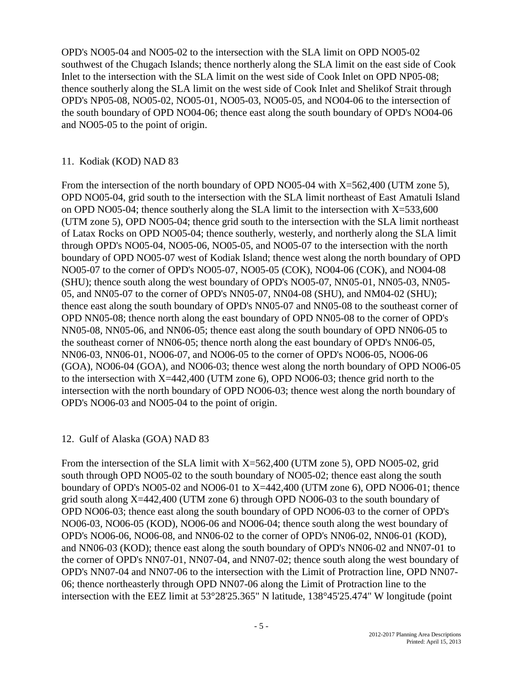OPD's NO05-04 and NO05-02 to the intersection with the SLA limit on OPD NO05-02 southwest of the Chugach Islands; thence northerly along the SLA limit on the east side of Cook Inlet to the intersection with the SLA limit on the west side of Cook Inlet on OPD NP05-08; thence southerly along the SLA limit on the west side of Cook Inlet and Shelikof Strait through OPD's NP05-08, NO05-02, NO05-01, NO05-03, NO05-05, and NO04-06 to the intersection of the south boundary of OPD NO04-06; thence east along the south boundary of OPD's NO04-06 and NO05-05 to the point of origin.

# 11. Kodiak (KOD) NAD 83

From the intersection of the north boundary of OPD NO05-04 with X=562,400 (UTM zone 5), OPD NO05-04, grid south to the intersection with the SLA limit northeast of East Amatuli Island on OPD NO05-04; thence southerly along the SLA limit to the intersection with  $X=533,600$ (UTM zone 5), OPD NO05-04; thence grid south to the intersection with the SLA limit northeast of Latax Rocks on OPD NO05-04; thence southerly, westerly, and northerly along the SLA limit through OPD's NO05-04, NO05-06, NO05-05, and NO05-07 to the intersection with the north boundary of OPD NO05-07 west of Kodiak Island; thence west along the north boundary of OPD NO05-07 to the corner of OPD's NO05-07, NO05-05 (COK), NO04-06 (COK), and NO04-08 (SHU); thence south along the west boundary of OPD's NO05-07, NN05-01, NN05-03, NN05- 05, and NN05-07 to the corner of OPD's NN05-07, NN04-08 (SHU), and NM04-02 (SHU); thence east along the south boundary of OPD's NN05-07 and NN05-08 to the southeast corner of OPD NN05-08; thence north along the east boundary of OPD NN05-08 to the corner of OPD's NN05-08, NN05-06, and NN06-05; thence east along the south boundary of OPD NN06-05 to the southeast corner of NN06-05; thence north along the east boundary of OPD's NN06-05, NN06-03, NN06-01, NO06-07, and NO06-05 to the corner of OPD's NO06-05, NO06-06 (GOA), NO06-04 (GOA), and NO06-03; thence west along the north boundary of OPD NO06-05 to the intersection with X=442,400 (UTM zone 6), OPD NO06-03; thence grid north to the intersection with the north boundary of OPD NO06-03; thence west along the north boundary of OPD's NO06-03 and NO05-04 to the point of origin.

# 12. Gulf of Alaska (GOA) NAD 83

From the intersection of the SLA limit with X=562,400 (UTM zone 5), OPD NO05-02, grid south through OPD NO05-02 to the south boundary of NO05-02; thence east along the south boundary of OPD's NO05-02 and NO06-01 to X=442,400 (UTM zone 6), OPD NO06-01; thence grid south along X=442,400 (UTM zone 6) through OPD NO06-03 to the south boundary of OPD NO06-03; thence east along the south boundary of OPD NO06-03 to the corner of OPD's NO06-03, NO06-05 (KOD), NO06-06 and NO06-04; thence south along the west boundary of OPD's NO06-06, NO06-08, and NN06-02 to the corner of OPD's NN06-02, NN06-01 (KOD), and NN06-03 (KOD); thence east along the south boundary of OPD's NN06-02 and NN07-01 to the corner of OPD's NN07-01, NN07-04, and NN07-02; thence south along the west boundary of OPD's NN07-04 and NN07-06 to the intersection with the Limit of Protraction line, OPD NN07- 06; thence northeasterly through OPD NN07-06 along the Limit of Protraction line to the intersection with the EEZ limit at 53°28'25.365" N latitude, 138°45'25.474" W longitude (point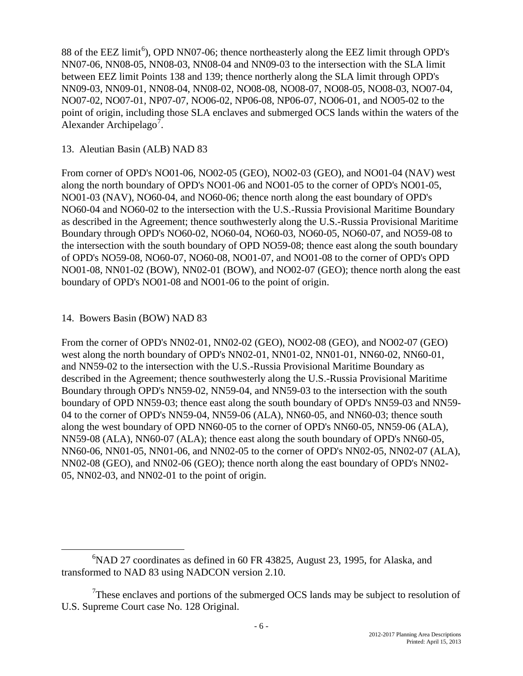88 of the EEZ limit<sup>[6](#page-5-0)</sup>), OPD NN07-06; thence northeasterly along the EEZ limit through OPD's NN07-06, NN08-05, NN08-03, NN08-04 and NN09-03 to the intersection with the SLA limit between EEZ limit Points 138 and 139; thence northerly along the SLA limit through OPD's NN09-03, NN09-01, NN08-04, NN08-02, NO08-08, NO08-07, NO08-05, NO08-03, NO07-04, NO07-02, NO07-01, NP07-07, NO06-02, NP06-08, NP06-07, NO06-01, and NO05-02 to the point of origin, including those SLA enclaves and submerged OCS lands within the waters of the Alexander Archipelago<sup>[7](#page-5-1)</sup>.

### 13. Aleutian Basin (ALB) NAD 83

From corner of OPD's NO01-06, NO02-05 (GEO), NO02-03 (GEO), and NO01-04 (NAV) west along the north boundary of OPD's NO01-06 and NO01-05 to the corner of OPD's NO01-05, NO01-03 (NAV), NO60-04, and NO60-06; thence north along the east boundary of OPD's NO60-04 and NO60-02 to the intersection with the U.S.-Russia Provisional Maritime Boundary as described in the Agreement; thence southwesterly along the U.S.-Russia Provisional Maritime Boundary through OPD's NO60-02, NO60-04, NO60-03, NO60-05, NO60-07, and NO59-08 to the intersection with the south boundary of OPD NO59-08; thence east along the south boundary of OPD's NO59-08, NO60-07, NO60-08, NO01-07, and NO01-08 to the corner of OPD's OPD NO01-08, NN01-02 (BOW), NN02-01 (BOW), and NO02-07 (GEO); thence north along the east boundary of OPD's NO01-08 and NO01-06 to the point of origin.

# 14. Bowers Basin (BOW) NAD 83

From the corner of OPD's NN02-01, NN02-02 (GEO), NO02-08 (GEO), and NO02-07 (GEO) west along the north boundary of OPD's NN02-01, NN01-02, NN01-01, NN60-02, NN60-01, and NN59-02 to the intersection with the U.S.-Russia Provisional Maritime Boundary as described in the Agreement; thence southwesterly along the U.S.-Russia Provisional Maritime Boundary through OPD's NN59-02, NN59-04, and NN59-03 to the intersection with the south boundary of OPD NN59-03; thence east along the south boundary of OPD's NN59-03 and NN59- 04 to the corner of OPD's NN59-04, NN59-06 (ALA), NN60-05, and NN60-03; thence south along the west boundary of OPD NN60-05 to the corner of OPD's NN60-05, NN59-06 (ALA), NN59-08 (ALA), NN60-07 (ALA); thence east along the south boundary of OPD's NN60-05, NN60-06, NN01-05, NN01-06, and NN02-05 to the corner of OPD's NN02-05, NN02-07 (ALA), NN02-08 (GEO), and NN02-06 (GEO); thence north along the east boundary of OPD's NN02- 05, NN02-03, and NN02-01 to the point of origin.

<span id="page-5-0"></span><sup>6</sup>  ${}^{6}$ NAD 27 coordinates as defined in 60 FR 43825, August 23, 1995, for Alaska, and transformed to NAD 83 using NADCON version 2.10.

<span id="page-5-1"></span> $7$ These enclaves and portions of the submerged OCS lands may be subject to resolution of U.S. Supreme Court case No. 128 Original.